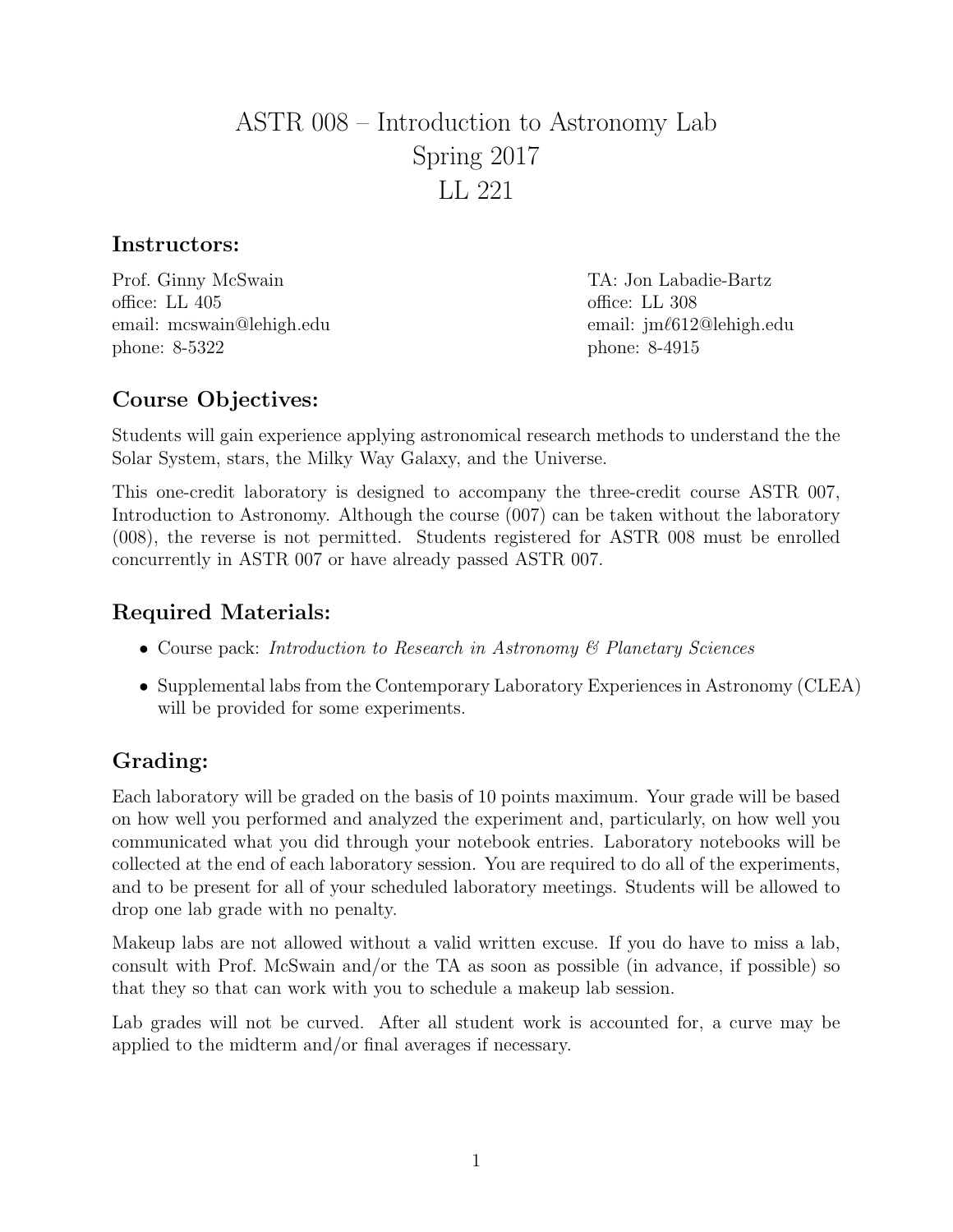# ASTR 008 – Introduction to Astronomy Lab Spring 2017 LL 221

#### Instructors:

Prof. Ginny McSwain TA: Jon Labadie-Bartz office: LL 405 office: LL 308 email: mcswain@lehigh.edu email: jm $\ell$ 612@lehigh.edu phone: 8-5322 phone: 8-4915

# Course Objectives:

Students will gain experience applying astronomical research methods to understand the the Solar System, stars, the Milky Way Galaxy, and the Universe.

This one-credit laboratory is designed to accompany the three-credit course ASTR 007, Introduction to Astronomy. Although the course (007) can be taken without the laboratory (008), the reverse is not permitted. Students registered for ASTR 008 must be enrolled concurrently in ASTR 007 or have already passed ASTR 007.

### Required Materials:

- Course pack: Introduction to Research in Astronomy & Planetary Sciences
- Supplemental labs from the Contemporary Laboratory Experiences in Astronomy (CLEA) will be provided for some experiments.

# Grading:

Each laboratory will be graded on the basis of 10 points maximum. Your grade will be based on how well you performed and analyzed the experiment and, particularly, on how well you communicated what you did through your notebook entries. Laboratory notebooks will be collected at the end of each laboratory session. You are required to do all of the experiments, and to be present for all of your scheduled laboratory meetings. Students will be allowed to drop one lab grade with no penalty.

Makeup labs are not allowed without a valid written excuse. If you do have to miss a lab, consult with Prof. McSwain and/or the TA as soon as possible (in advance, if possible) so that they so that can work with you to schedule a makeup lab session.

Lab grades will not be curved. After all student work is accounted for, a curve may be applied to the midterm and/or final averages if necessary.